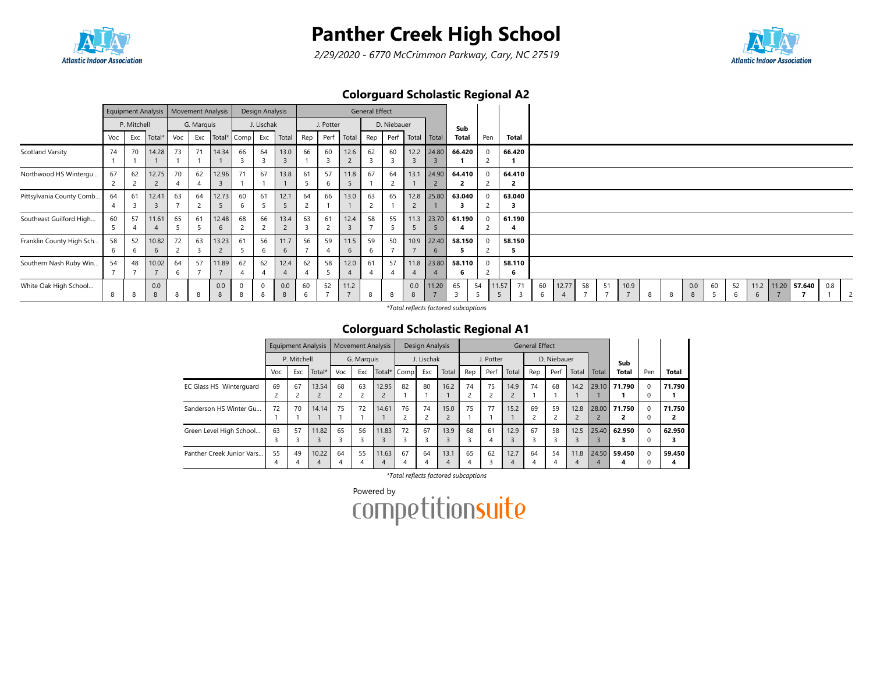

2/29/2020 - 6770 McCrimmon Parkway, Cary, NC 27519



### Colorguard Scholastic Regional A2

|                          |         |             | <b>Equipment Analysis</b> |                      | <b>Movement Analysis</b> |                 |         | Design Analysis      |                        |          |           |                        | <b>General Effect</b> |             |      |                              |              |              |            |              |         |       |    |    |      |   |   |          |    |         |   |            |        |     |  |
|--------------------------|---------|-------------|---------------------------|----------------------|--------------------------|-----------------|---------|----------------------|------------------------|----------|-----------|------------------------|-----------------------|-------------|------|------------------------------|--------------|--------------|------------|--------------|---------|-------|----|----|------|---|---|----------|----|---------|---|------------|--------|-----|--|
|                          |         | P. Mitchell |                           |                      | G. Marquis               |                 |         | J. Lischak           |                        |          | J. Potter |                        |                       | D. Niebauer |      |                              | Sub          |              |            |              |         |       |    |    |      |   |   |          |    |         |   |            |        |     |  |
|                          | Voc     | Exc         | Total*                    | Voc                  |                          | Exc Total* Comp |         | Exc                  | Total                  | Rep      | Perf      | Total                  | Rep                   |             |      | Perf Total Total             | <b>Total</b> | Pen          |            | Total        |         |       |    |    |      |   |   |          |    |         |   |            |        |     |  |
| Scotland Varsity         | 74      | 70          | 14.28                     | 73                   | 71                       | 14.34           | 66      | 64                   | 13.0                   | 66       | 60        | 12.6<br>$\overline{2}$ | 62                    | 60<br>В     |      | 12.2 24.80                   | 66.420       | $\Omega$     |            | 66.420       |         |       |    |    |      |   |   |          |    |         |   |            |        |     |  |
| Northwood HS Wintergu    | 67<br>2 | 62          | 12.75<br>$\epsilon$       | 70                   | 62                       | 12.96           | 71      | 67                   | 13.8                   | 61<br>-2 | 57<br>b   | 11.8<br>5              | 67                    | 64          | 13.1 | 24.90                        | 64.410       | $\Omega$     |            | 64.410<br>-2 |         |       |    |    |      |   |   |          |    |         |   |            |        |     |  |
| Pittsylvania County Comb | 64<br>4 | 61          | 12.41<br>$\overline{3}$   | 63<br>$\overline{ }$ | 64                       | 12.73<br>5      | 60<br>6 | 61<br>-5             | 12.1                   | 64       | 66        | 13.0                   | 63                    | 65          |      | 12.8 25.80                   | 63.040       | $\Omega$     |            | 63.040<br>3  |         |       |    |    |      |   |   |          |    |         |   |            |        |     |  |
| Southeast Guilford High  | 60      | 57          | 11.61                     | 65<br>5              | 61                       | 12.48<br>6      | 68      | 66<br>$\overline{2}$ | 13.4<br>$\overline{2}$ | 63<br>-3 | 61<br>ے   | 12.4<br>$\overline{3}$ | 58                    | 55<br>5     |      | 11.3 23.70                   | 61.190       | $\Omega$     |            | 61.190       |         |       |    |    |      |   |   |          |    |         |   |            |        |     |  |
| Franklin County High Sch | 58      | 52          | 10.82<br>$\mathbf b$      | 72                   | 63                       | 13.23           | 61      | 56<br><sub>b</sub>   | 11.7<br>b              | 56       | 59        | 11.5<br>-6             | 59                    | 50          |      | 10.9 22.40<br>$\mathfrak{b}$ | 58.150       | $\Omega$     |            | 58.150<br>э  |         |       |    |    |      |   |   |          |    |         |   |            |        |     |  |
| Southern Nash Ruby Win   | 54      | 48          | 10.02                     | 64<br>6              | 57                       | 11.89           | 62      | 62                   | 12.4                   | 62       | 58        | 12.0                   | 61                    | 57          |      | 11.8 23.80                   | 58.110<br>b  | $\mathbf{0}$ |            | 58.110<br>b  |         |       |    |    |      |   |   |          |    |         |   |            |        |     |  |
| White Oak High School    | 8       | 8           | 0.0<br>8                  |                      | 8                        | 0.0<br>8        | 8       |                      | 0.0<br>8               | 60       | 52        | 11.2                   | 8                     | -8          | 0.0  | 11.20                        | 65           | 54           | 11.57<br>5 | 71<br>3      | 60<br>6 | 12.77 | 58 | 51 | 10.9 | 8 | 8 | 0.0<br>8 | 60 | 52<br>6 | 6 | 11.2 11.20 | 57.640 | 0.8 |  |

\*Total reflects factored subcaptions

#### Colorguard Scholastic Regional A1

|                           |     | <b>Equipment Analysis</b><br>P. Mitchell |        |     | <b>Movement Analysis</b> |       |             | <b>Design Analysis</b> |       |                         |           |       | <b>General Effect</b> |             |                |       |              |          |        |
|---------------------------|-----|------------------------------------------|--------|-----|--------------------------|-------|-------------|------------------------|-------|-------------------------|-----------|-------|-----------------------|-------------|----------------|-------|--------------|----------|--------|
|                           |     |                                          |        |     | G. Marquis               |       |             | J. Lischak             |       |                         | J. Potter |       |                       | D. Niebauer |                |       | Sub          |          |        |
|                           | Voc | Exc                                      | Total* | Voc | Exc                      |       | Total* Comp | Exc                    | Total | Rep                     | Perf      | Total | Rep                   | Perf        | Total          | Total | <b>Total</b> | Pen      | Total  |
| EC Glass HS Winterguard   | 69  | 67                                       | 13.54  | 68  | 63                       | 12.95 | 82          | 80                     | 16.2  | 74                      | 75        | 14.9  | 74                    | 68          | 14.2           |       | 29.10 71.790 | $\Omega$ | 71.790 |
|                           |     |                                          |        |     |                          |       |             |                        |       | $\overline{\mathbf{c}}$ |           |       |                       |             |                |       |              |          |        |
| Sanderson HS Winter Gu    | 72  | 70                                       | 14.14  | 75  | 72                       | 14.61 | 76          | 74                     | 15.0  | 75                      | 77        | 15.2  | 69                    | 59          | 12.8           | 28.00 | 71.750       | $\Omega$ | 71.750 |
|                           |     |                                          |        |     |                          |       |             | ے                      |       |                         |           |       |                       |             | $\overline{2}$ |       |              |          |        |
| Green Level High School   | 63  | 57                                       | 11.82  | 65  | 56                       | 11.83 | 72          | 67                     | 13.9  | 68                      | 61        | 12.9  | 67                    | 58          | 12.5           | 25.40 | 62.950       | $\Omega$ | 62.950 |
|                           |     |                                          |        |     |                          |       |             |                        |       | 3                       | 4         |       | 3                     |             | 3              |       |              |          |        |
| Panther Creek Junior Vars | 55  | 49                                       | 10.22  | 64  | 55                       | 11.63 | 67          | 64                     | 13.1  | 65                      | 62        | 12.7  | 64                    | 54          | 11.8           | 24.50 | 59.450       | $\Omega$ | 59.450 |
|                           | 4   |                                          | 4      | 4   | 4                        | 4     | 4           |                        | 4     | 4                       |           | 4     | 4                     |             | 4              | 4     |              |          |        |

\*Total reflects factored subcaptions

Powered by<br>COMPetitionsuite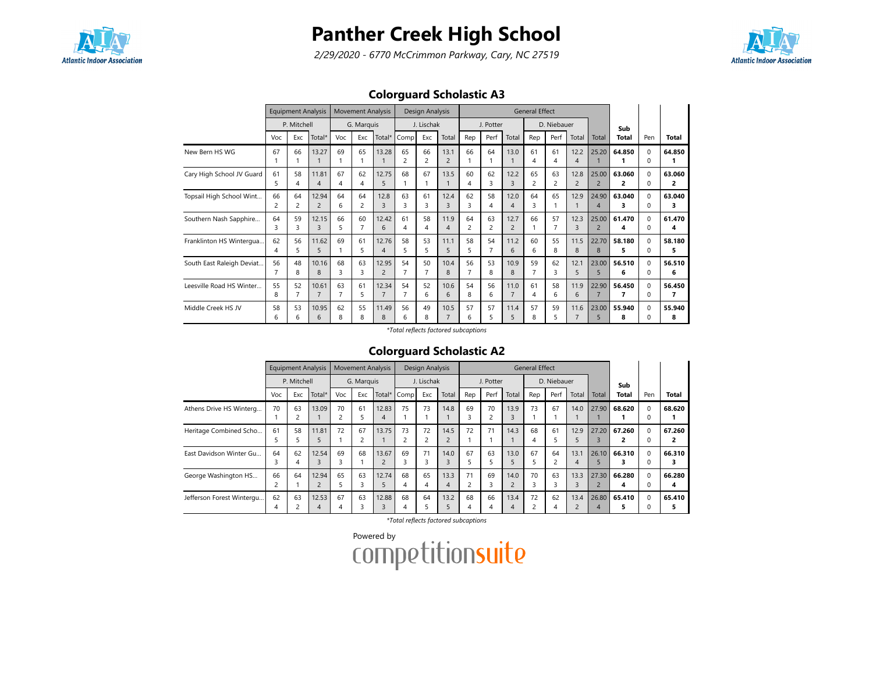

2/29/2020 - 6770 McCrimmon Parkway, Cary, NC 27519



### Colorguard Scholastic A3

|                           |                      | <b>Equipment Analysis</b><br>P. Mitchell |                         |         | <b>Movement Analysis</b> |                         |                      | Design Analysis      |                        |         |           |                        | <b>General Effect</b> |                      |                        |                         |              |                          |              |
|---------------------------|----------------------|------------------------------------------|-------------------------|---------|--------------------------|-------------------------|----------------------|----------------------|------------------------|---------|-----------|------------------------|-----------------------|----------------------|------------------------|-------------------------|--------------|--------------------------|--------------|
|                           |                      |                                          |                         |         | G. Marquis               |                         |                      | J. Lischak           |                        |         | J. Potter |                        |                       | D. Niebauer          |                        |                         | Sub          |                          |              |
|                           | Voc                  | Exc                                      | Total*                  | Voc     | Exc                      | Total*                  | Comp                 | Exc                  | Total                  | Rep     | Perf      | Total                  | Rep                   | Perf                 | Total                  | Total                   | <b>Total</b> | Pen                      | <b>Total</b> |
| New Bern HS WG            | 67                   | 66                                       | 13.27                   | 69      | 65                       | 13.28                   | 65<br>$\overline{c}$ | 66<br>$\overline{2}$ | 13.1<br>$\overline{2}$ | 66      | 64        | 13.0                   | 61<br>4               | 61<br>4              | 12.2<br>4              | 25.20                   | 64.850       | $\Omega$<br><sup>0</sup> | 64.850       |
| Cary High School JV Guard | 61<br>5              | 58<br>4                                  | 11.81<br>4              | 67<br>4 | 62<br>4                  | 12.75<br>5              | 68                   | 67                   | 13.5                   | 60<br>4 | 62<br>3   | 12.2<br>3              | 65<br>$\overline{c}$  | 63<br>$\overline{c}$ | 12.8<br>$\overline{2}$ | 25.00<br>$\overline{2}$ | 63.060<br>2  | $\Omega$<br>$\Omega$     | 63.060<br>2  |
| Topsail High School Wint  | 66<br>$\overline{c}$ | 64<br>2                                  | 12.94<br>$\overline{2}$ | 64<br>6 | 64<br>2                  | 12.8<br>3               | 63<br>3              | 61<br>3              | 12.4<br>3              | 62<br>3 | 58<br>4   | 12.0<br>$\overline{4}$ | 64<br>3               | 65                   | 12.9                   | 24.90<br>$\overline{4}$ | 63.040<br>3  | $\Omega$<br><sup>0</sup> | 63.040<br>3  |
| Southern Nash Sapphire    | 64<br>3              | 59<br>3                                  | 12.15<br>3              | 66<br>5 | 60<br>7                  | 12.42<br>6              | 61<br>4              | 58<br>4              | 11.9<br>4              | 64<br>2 | 63<br>2   | 12.7<br>$\overline{2}$ | 66                    | 57                   | 12.3<br>3              | 25.00<br>$\overline{2}$ | 61.470<br>4  | $\Omega$<br>$\Omega$     | 61.470<br>4  |
| Franklinton HS Wintergua  | 62<br>4              | 56<br>5.                                 | 11.62<br>5              | 69      | 61<br>5                  | 12.76<br>$\overline{4}$ | 58<br>5              | 53<br>5.             | 11.1<br>5              | 58<br>5 | 54        | 11.2<br>6              | 60<br>6               | 55<br>8              | 11.5<br>8              | 22.70<br>8              | 58.180<br>5. | $\Omega$<br><sup>0</sup> | 58.180<br>5  |
| South East Raleigh Deviat | 56                   | 48<br>8                                  | 10.16<br>8              | 68<br>3 | 63<br>3                  | 12.95<br>$\overline{2}$ | 54<br>$\overline{7}$ | 50                   | 10.4<br>8              | 56<br>7 | 53<br>8   | 10.9<br>8              | 59                    | 62<br>3              | 12.1<br>5              | 23.00<br>5              | 56.510<br>6  | $\Omega$<br>$\Omega$     | 56.510<br>6  |
| Leesville Road HS Winter  | 55<br>8              | 52                                       | 10.61<br>$\overline{7}$ | 63<br>7 | 61<br>5                  | 12.34                   | 54<br>$\overline{7}$ | 52<br>6              | 10.6<br>6              | 54<br>8 | 56<br>6   | 11.0<br>$\overline{7}$ | 61<br>4               | 58<br>6              | 11.9<br>6              | 22.90<br>$\overline{7}$ | 56.450<br>7  | $\Omega$<br>$\Omega$     | 56.450<br>7  |
| Middle Creek HS JV        | 58<br>6              | 53<br>6                                  | 10.95<br>6              | 62<br>8 | 55<br>8                  | 11.49<br>8              | 56<br>6              | 49<br>8              | 10.5<br>$\overline{7}$ | 57<br>6 | 57<br>5   | 11.4<br>5              | 57<br>8               | 59<br>5              | 11.6<br>7              | 23.00<br>5              | 55.940<br>8  | $\Omega$<br>$\Omega$     | 55.940<br>8  |

\*Total reflects factored subcaptions

### Colorguard Scholastic A2

|                           |         | <b>Equipment Analysis</b><br>P. Mitchell |            |         | <b>Movement Analysis</b> |            |             | Design Analysis      |           |                      |           |       | <b>General Effect</b> |             |                        |            |             |          |              |
|---------------------------|---------|------------------------------------------|------------|---------|--------------------------|------------|-------------|----------------------|-----------|----------------------|-----------|-------|-----------------------|-------------|------------------------|------------|-------------|----------|--------------|
|                           |         |                                          |            |         | G. Marguis               |            |             | J. Lischak           |           |                      | J. Potter |       |                       | D. Niebauer |                        |            | Sub         |          |              |
|                           | Voc     | Exc                                      | Total*     | Voc     | Exc                      |            | Total* Comp | Exc                  | Total     | Rep                  | Perf      | Total | Rep                   | Perf        | Total                  | Total      | Total       | Pen      | <b>Total</b> |
| Athens Drive HS Winterg   | 70      | 63                                       | 13.09      | 70<br>2 | 61                       | 12.83<br>4 | 75          | 73                   | 14.8      | 69<br>3              | 70        | 13.9  | 73                    | 67          | 14.0                   | 27.90      | 68.620      | $\Omega$ | 68.620       |
| Heritage Combined Scho    | 61      | 58                                       | 11.81      | 72      | 67                       | 13.75      | 73          | 72<br>$\overline{c}$ | 14.5      | 72                   | 71        | 14.3  | 68<br>4               | 61          | 12.9<br>5              | 27.20      | 67.260      | $\Omega$ | 67.260       |
| East Davidson Winter Gu   | 64<br>3 | 62<br>4                                  | 12.54      | 69<br>3 | 68                       | 13.67      | 69          | 71<br>3              | 14.0<br>3 | 67<br>5              | 63        | 13.0  | 67                    | 64          | 13.1<br>$\overline{4}$ | 26.10      | 66.310      | $\Omega$ | 66.310       |
| George Washington HS      | 66<br>2 | 64                                       | 12.94      | 65      | 63                       | 12.74      | 68          | 65<br>4              | 13.3<br>4 | 71<br>$\overline{2}$ | 69        | 14.0  | 70<br>3               | 63          | 13.3<br>3              | 27.30      | 66.280<br>4 | $\Omega$ | 66.280<br>4  |
| Jefferson Forest Wintergu | 62<br>4 | 63                                       | 12.53<br>4 | 67<br>4 | 63                       | 12.88      | 68          | 64                   | 13.2      | 68<br>4              | 66<br>4   | 13.4  | 72<br>∍               | 62          | 13.4<br>$\overline{2}$ | 26.80<br>4 | 65.410      | $\Omega$ | 65.410       |

\*Total reflects factored subcaptions

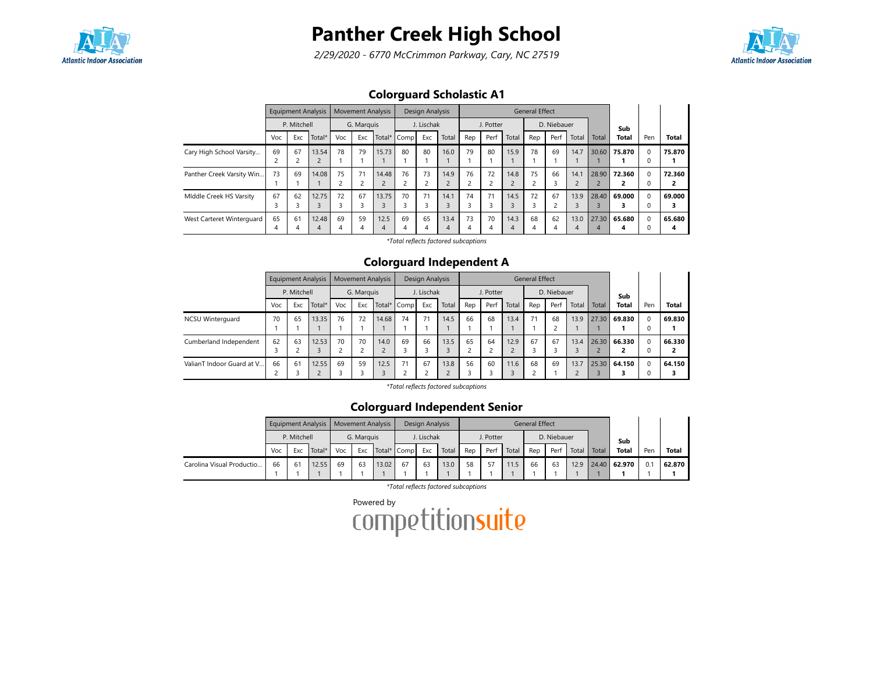

2/29/2020 - 6770 McCrimmon Parkway, Cary, NC 27519



### Colorguard Scholastic A1

|                           |         | <b>Equipment Analysis</b><br>P. Mitchell |                         |         | <b>Movement Analysis</b> |           |             | Design Analysis |           |                      |           |       | <b>General Effect</b> |             |                        |            |              |          |              |
|---------------------------|---------|------------------------------------------|-------------------------|---------|--------------------------|-----------|-------------|-----------------|-----------|----------------------|-----------|-------|-----------------------|-------------|------------------------|------------|--------------|----------|--------------|
|                           |         |                                          |                         |         | G. Marquis               |           |             | J. Lischak      |           |                      | J. Potter |       |                       | D. Niebauer |                        |            | Sub          |          |              |
|                           | Voc     | Exc                                      | Total*                  | Voc     | Exc                      |           | Total* Comp | Exc             | Total     | Rep                  | Perf      | Total | Rep                   | Perf        | Total                  | Total      | <b>Total</b> | Pen      | <b>Total</b> |
| Cary High School Varsity  | 69      | 67                                       | 13.54<br>$\overline{2}$ | 78      | 79                       | 15.73     | 80          | 80              | 16.0      | 79                   | 80        | 15.9  | 78                    | 69          | 14.7                   | 30.60      | 75.870       | 0        | 75.870       |
| Panther Creek Varsity Win | 73      | 69                                       | 14.08                   | 75      | 71                       | 14.48     | 76          | 73<br>2         | 14.9      | 76<br>$\overline{c}$ | 72        | 14.8  | 75                    | 66          | 14.1<br>$\overline{c}$ | 28.90      | 72.360       | $\Omega$ | 72.360<br>2  |
| Middle Creek HS Varsity   | 67<br>3 | 62                                       | 12.75                   | 72      | 67                       | 13.75     | 70          | 71<br>3         | 14.1      | 74<br>3              | 71        | 14.5  | 72<br>3               | 67          | 13.9                   | 28.40      | 69.000       | $\Omega$ | 69.000<br>3  |
| West Carteret Winterguard | 65<br>4 | 61                                       | 12.48<br>4              | 69<br>4 | 59<br>4                  | 12.5<br>4 | 69<br>4     | 65<br>4         | 13.4<br>4 | 73<br>4              | 70<br>4   | 14.3  | 68<br>4               | 62          | 13.0<br>4              | 27.30<br>4 | 65.680       | $\Omega$ | 65.680<br>4  |

\*Total reflects factored subcaptions

#### Colorguard Independent A

|                           |     | <b>Equipment Analysis</b><br>P. Mitchell |       |     | <b>Movement Analysis</b> |             |    | Design Analysis |       |         |           |       | <b>General Effect</b> |             |       |       |              |                      |              |
|---------------------------|-----|------------------------------------------|-------|-----|--------------------------|-------------|----|-----------------|-------|---------|-----------|-------|-----------------------|-------------|-------|-------|--------------|----------------------|--------------|
|                           |     |                                          |       |     | G. Marquis               |             |    | J. Lischak      |       |         | J. Potter |       |                       | D. Niebauer |       |       | Sub          |                      |              |
|                           | Voc | Total*<br>Exc<br>65<br>13.35             |       | Voc | Exc                      | Total* Comp |    | Exc             | Total | Rep     | Perf      | Total | Rep                   | Perf        | Total | Total | <b>Total</b> | Pen                  | <b>Total</b> |
| <b>NCSU Winterguard</b>   | 70  |                                          |       | 76  | 72                       | 14.68       | 74 | 71              | 14.5  | 66      | 68        | 13.4  | 71                    | 68          | 13.9  |       | 27.30 69.830 | $\Omega$<br>$\Omega$ | 69.830       |
| Cumberland Independent    | 62  | 63                                       | 12.53 | 70  | 70                       | 14.0        | 69 | 66              | 13.5  | 65      | 64        | 12.9  | 67                    | 67          | 13.4  |       | 26.30 66.330 | $\Omega$             | 66.330       |
| ValianT Indoor Guard at V | 66  | 61                                       | 12.55 | 69  | 59                       | 12.5        | 71 | 67              | 13.8  | 56<br>З | 60        | 11.6  | 68                    | 69          | 13.7  |       | 25.30 64.150 | $\Omega$<br>0        | 64.150       |

\*Total reflects factored subcaptions

### Colorguard Independent Senior

|                           |    |                                     | Equipment Analysis   Movement Analysis |    |            |             |    | Design Analysis |       |     |           |       | <b>General Effect</b> |             |       |       |              |     |              |
|---------------------------|----|-------------------------------------|----------------------------------------|----|------------|-------------|----|-----------------|-------|-----|-----------|-------|-----------------------|-------------|-------|-------|--------------|-----|--------------|
|                           |    | P. Mitchell<br>Total*<br>Voc<br>Exc |                                        |    | G. Marguis |             |    | . Lischak       |       |     | J. Potter |       |                       | D. Niebauer |       |       | Sub          |     |              |
|                           |    |                                     |                                        |    | Exc        | Total* Comp |    | Exc             | Total | Rep | Perf      | Total | Rep                   | Perf        | Total | Total | <b>Total</b> | Pen | <b>Total</b> |
| Carolina Visual Productio | 66 | 61                                  | 12.55                                  | 69 | 63         | 13.02       | 67 | 63              | 13.0  | 58  | 57        | 11.5  | 66                    | 63          | 12.9  |       | 24.40 62.970 | 0.  | 62.870       |
|                           |    |                                     |                                        |    |            |             |    |                 |       |     |           |       |                       |             |       |       |              |     |              |

\*Total reflects factored subcaptions

Powered by<br>COMPETitionsuite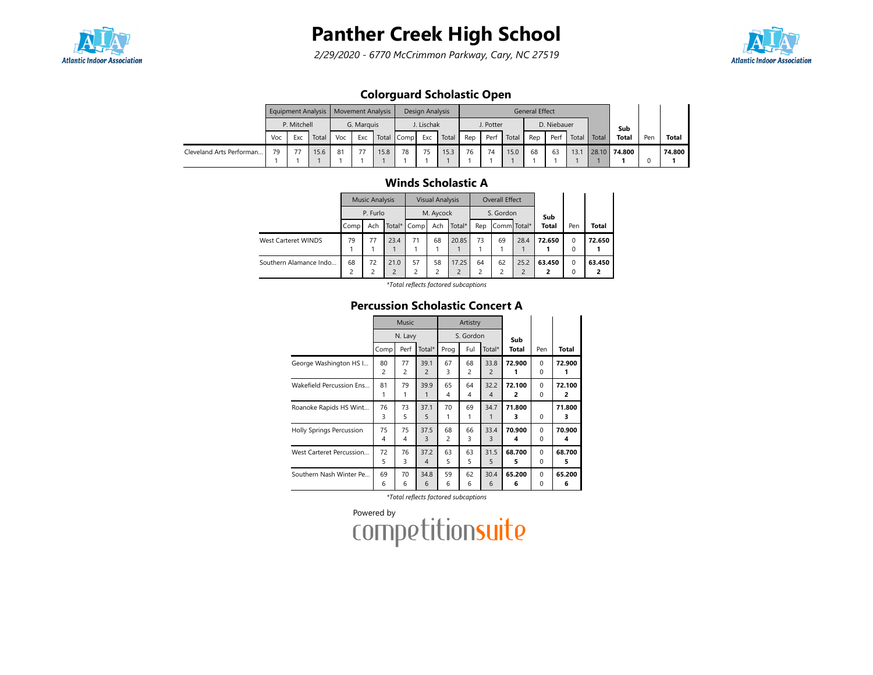

2/29/2020 - 6770 McCrimmon Parkway, Cary, NC 27519



### Colorguard Scholastic Open

|                          |     |              | Equipment Analysis   Movement Analysis |    |            |      |            | Design Analysis |       |     |           |       | General Effect |             |       |       |              |     |              |
|--------------------------|-----|--------------|----------------------------------------|----|------------|------|------------|-----------------|-------|-----|-----------|-------|----------------|-------------|-------|-------|--------------|-----|--------------|
|                          |     | P. Mitchell  |                                        |    | G. Marguis |      |            | J. Lischak      |       |     | J. Potter |       |                | D. Niebauer |       |       | Sub          |     |              |
|                          | Voc | Exc<br>Total |                                        |    | Exc        |      | Total Comp | Exc             | Total | Rep | Perf      | Total | Rep            | Perf        | Total | Total | <b>Total</b> | Pen | <b>Total</b> |
| Cleveland Arts Performan | 79  | 77           | 15.6                                   | 81 | 77         | 15.8 | 78         | 75              | 15.3  | 76  | 74        | 15.0  | 68             | 63          | 13.1  |       | 28.10 74.800 |     | 74.800       |
|                          |     |              |                                        |    |            |      |            |                 |       |     |           |       |                |             |       |       |              |     |              |

### Winds Scholastic A

|                            |      | <b>Music Analysis</b> |      |             | <b>Visual Analysis</b> |                         |     | Overall Effect |      |              |                         |              |
|----------------------------|------|-----------------------|------|-------------|------------------------|-------------------------|-----|----------------|------|--------------|-------------------------|--------------|
|                            |      | P. Furlo              |      |             | M. Aycock              |                         |     | S. Gordon      |      | Sub          |                         |              |
|                            | Comp | Ach                   |      | Total* Comp | Ach                    | Total*                  | Rep | Comm Total*    |      | <b>Total</b> | Pen                     | <b>Total</b> |
| <b>West Carteret WINDS</b> | 79   | 77                    | 23.4 | 71          | 68                     | 20.85                   | 73  | 69             | 28.4 | 72.650       | $\Omega$                | 72.650       |
|                            |      |                       |      |             |                        |                         |     |                |      |              | $\Omega$                |              |
| Southern Alamance Indo     | 68   | 72                    | 21.0 | 57          | 58                     | 17.25<br>$\overline{c}$ | 64  | 62<br>∍        | 25.2 | 63.450       | $\mathbf 0$<br>$\Omega$ | 63.450       |

\*Total reflects factored subcaptions

#### Percussion Scholastic Concert A

|                          |                      | Music                |                        |                      | Artistry             |                        |                          |                      |             |
|--------------------------|----------------------|----------------------|------------------------|----------------------|----------------------|------------------------|--------------------------|----------------------|-------------|
|                          |                      | N. Lavy              |                        |                      | S. Gordon            |                        | Sub                      |                      |             |
|                          | Comp                 | Perf                 | Total*                 | Prog                 | Ful                  | Total*                 | <b>Total</b>             | Pen                  | Total       |
| George Washington HS I   | 80<br>$\overline{c}$ | 77<br>$\overline{c}$ | 39.1<br>$\overline{c}$ | 67<br>3              | 68<br>$\overline{c}$ | 33.8<br>$\overline{2}$ | 72.900                   | $\Omega$<br>$\Omega$ | 72.900      |
| Wakefield Percussion Ens | 81<br>1              | 79<br>1              | 39.9<br>1              | 65<br>4              | 64<br>4              | 32.2<br>4              | 72.100<br>$\overline{2}$ | $\Omega$<br>0        | 72.100<br>2 |
| Roanoke Rapids HS Wint   | 76<br>3              | 73<br>5              | 37.1<br>5              | 70<br>1              | 69<br>1              | 34.7                   | 71.800<br>з              | $\Omega$             | 71.800<br>3 |
| Holly Springs Percussion | 75<br>4              | 75<br>$\overline{4}$ | 37.5<br>3              | 68<br>$\overline{c}$ | 66<br>3              | 33.4<br>3              | 70.900<br>4              | $\Omega$<br>$\Omega$ | 70.900<br>4 |
| West Carteret Percussion | 72<br>5              | 76<br>3              | 37.2<br>4              | 63<br>5              | 63<br>5              | 31.5<br>5              | 68.700<br>5              | $\Omega$<br>0        | 68.700<br>5 |
| Southern Nash Winter Pe  | 69<br>6              | 70<br>6              | 34.8<br>6              | 59<br>6              | 62<br>6              | 30.4<br>6              | 65.200<br>6              | $\Omega$<br>0        | 65.200<br>6 |

\*Total reflects factored subcaptions

Powered by<br>COMPETitionsuite